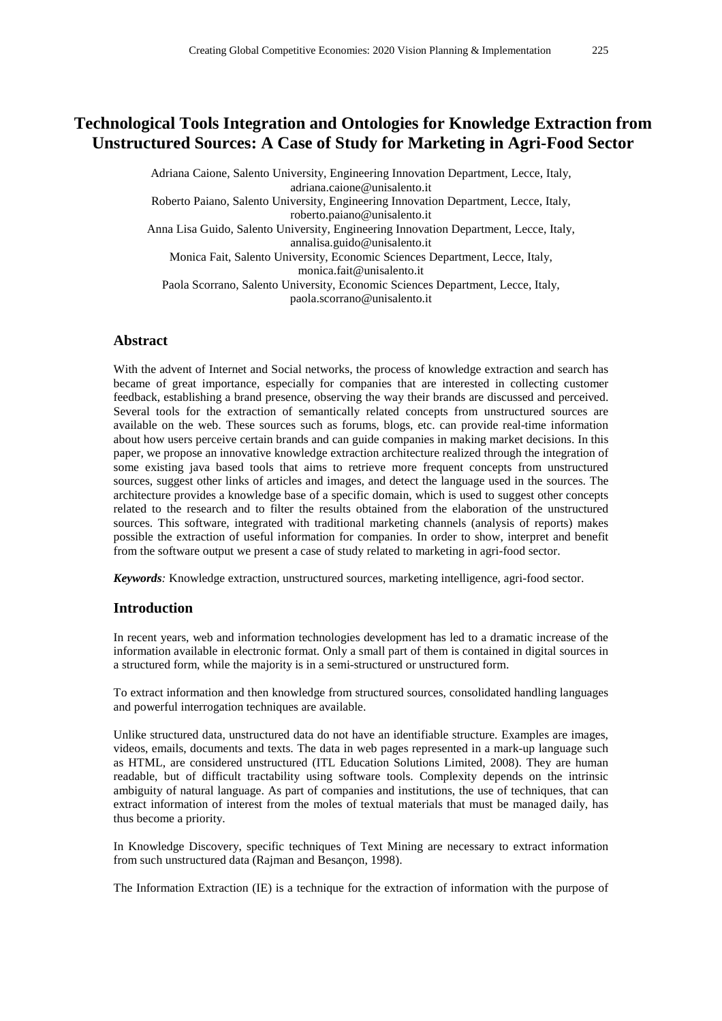# **Technological Tools Integration and Ontologies for Knowledge Extraction from Unstructured Sources: A Case of Study for Marketing in Agri-Food Sector**

Adriana Caione, Salento University, Engineering Innovation Department, Lecce, Italy, adriana.caione@unisalento.it Roberto Paiano, Salento University, Engineering Innovation Department, Lecce, Italy, roberto.paiano@unisalento.it Anna Lisa Guido, Salento University, Engineering Innovation Department, Lecce, Italy, annalisa.guido@unisalento.it Monica Fait, Salento University, Economic Sciences Department, Lecce, Italy, monica.fait@unisalento.it Paola Scorrano, Salento University, Economic Sciences Department, Lecce, Italy, paola.scorrano@unisalento.it

# **Abstract**

With the advent of Internet and Social networks, the process of knowledge extraction and search has became of great importance, especially for companies that are interested in collecting customer feedback, establishing a brand presence, observing the way their brands are discussed and perceived. Several tools for the extraction of semantically related concepts from unstructured sources are available on the web. These sources such as forums, blogs, etc. can provide real-time information about how users perceive certain brands and can guide companies in making market decisions. In this paper, we propose an innovative knowledge extraction architecture realized through the integration of some existing java based tools that aims to retrieve more frequent concepts from unstructured sources, suggest other links of articles and images, and detect the language used in the sources. The architecture provides a knowledge base of a specific domain, which is used to suggest other concepts related to the research and to filter the results obtained from the elaboration of the unstructured sources. This software, integrated with traditional marketing channels (analysis of reports) makes possible the extraction of useful information for companies. In order to show, interpret and benefit from the software output we present a case of study related to marketing in agri-food sector.

*Keywords:* Knowledge extraction, unstructured sources, marketing intelligence, agri-food sector.

# **Introduction**

In recent years, web and information technologies development has led to a dramatic increase of the information available in electronic format. Only a small part of them is contained in digital sources in a structured form, while the majority is in a semi-structured or unstructured form.

To extract information and then knowledge from structured sources, consolidated handling languages and powerful interrogation techniques are available.

Unlike structured data, unstructured data do not have an identifiable structure. Examples are images, videos, emails, documents and texts. The data in web pages represented in a mark-up language such as HTML, are considered unstructured (ITL Education Solutions Limited, 2008). They are human readable, but of difficult tractability using software tools. Complexity depends on the intrinsic ambiguity of natural language. As part of companies and institutions, the use of techniques, that can extract information of interest from the moles of textual materials that must be managed daily, has thus become a priority.

In Knowledge Discovery, specific techniques of Text Mining are necessary to extract information from such unstructured data (Rajman and Besançon, 1998).

The Information Extraction (IE) is a technique for the extraction of information with the purpose of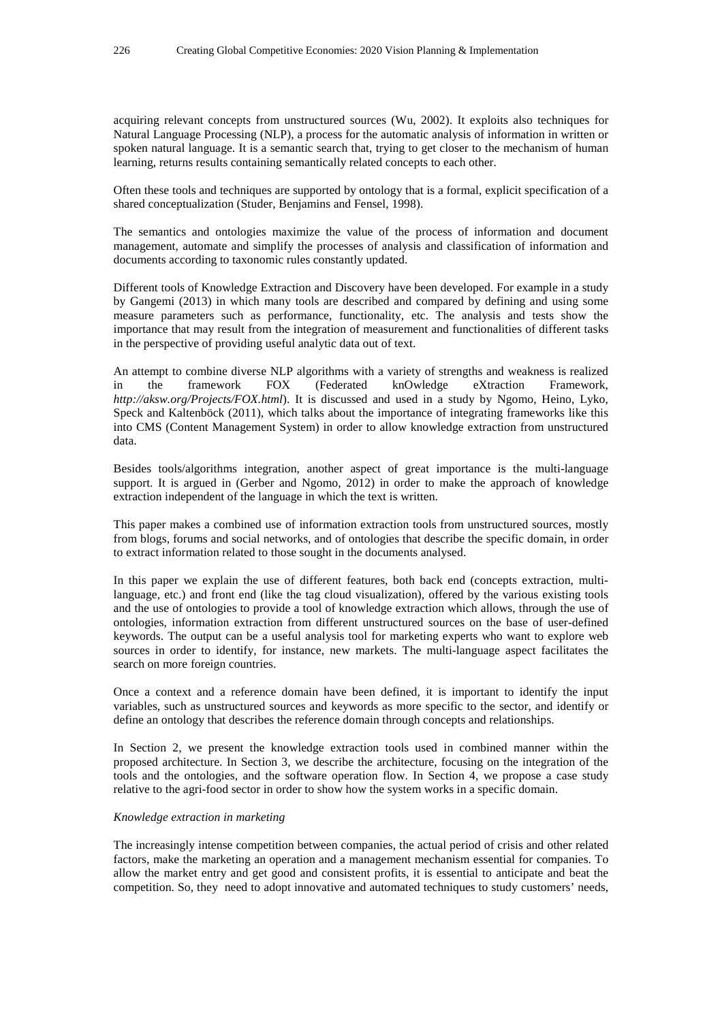acquiring relevant concepts from unstructured sources (Wu, 2002). It exploits also techniques for Natural Language Processing (NLP), a process for the automatic analysis of information in written or spoken natural language. It is a semantic search that, trying to get closer to the mechanism of human learning, returns results containing semantically related concepts to each other.

Often these tools and techniques are supported by ontology that is a formal, explicit specification of a shared conceptualization (Studer, Benjamins and Fensel, 1998).

The semantics and ontologies maximize the value of the process of information and document management, automate and simplify the processes of analysis and classification of information and documents according to taxonomic rules constantly updated.

Different tools of Knowledge Extraction and Discovery have been developed. For example in a study by Gangemi (2013) in which many tools are described and compared by defining and using some measure parameters such as performance, functionality, etc. The analysis and tests show the importance that may result from the integration of measurement and functionalities of different tasks in the perspective of providing useful analytic data out of text.

An attempt to combine diverse NLP algorithms with a variety of strengths and weakness is realized in the framework FOX (Federated knOwledge eXtraction Framework, *http://aksw.org/Projects/FOX.html*). It is discussed and used in a study by Ngomo, Heino, Lyko, Speck and Kaltenböck (2011), which talks about the importance of integrating frameworks like this into CMS (Content Management System) in order to allow knowledge extraction from unstructured data.

Besides tools/algorithms integration, another aspect of great importance is the multi-language support. It is argued in (Gerber and Ngomo, 2012) in order to make the approach of knowledge extraction independent of the language in which the text is written.

This paper makes a combined use of information extraction tools from unstructured sources, mostly from blogs, forums and social networks, and of ontologies that describe the specific domain, in order to extract information related to those sought in the documents analysed.

In this paper we explain the use of different features, both back end (concepts extraction, multilanguage, etc.) and front end (like the tag cloud visualization), offered by the various existing tools and the use of ontologies to provide a tool of knowledge extraction which allows, through the use of ontologies, information extraction from different unstructured sources on the base of user-defined keywords. The output can be a useful analysis tool for marketing experts who want to explore web sources in order to identify, for instance, new markets. The multi-language aspect facilitates the search on more foreign countries.

Once a context and a reference domain have been defined, it is important to identify the input variables, such as unstructured sources and keywords as more specific to the sector, and identify or define an ontology that describes the reference domain through concepts and relationships.

In Section 2, we present the knowledge extraction tools used in combined manner within the proposed architecture. In Section 3, we describe the architecture, focusing on the integration of the tools and the ontologies, and the software operation flow. In Section 4, we propose a case study relative to the agri-food sector in order to show how the system works in a specific domain.

#### *Knowledge extraction in marketing*

The increasingly intense competition between companies, the actual period of crisis and other related factors, make the marketing an operation and a management mechanism essential for companies. To allow the market entry and get good and consistent profits, it is essential to anticipate and beat the competition. So, they need to adopt innovative and automated techniques to study customers' needs,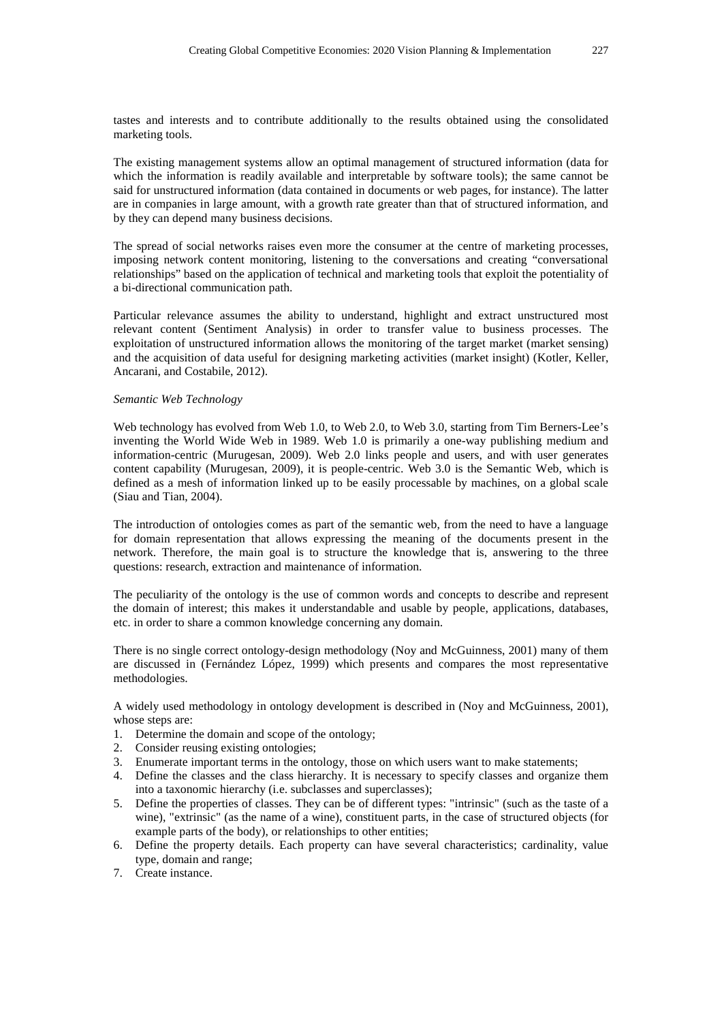tastes and interests and to contribute additionally to the results obtained using the consolidated marketing tools.

The existing management systems allow an optimal management of structured information (data for which the information is readily available and interpretable by software tools); the same cannot be said for unstructured information (data contained in documents or web pages, for instance). The latter are in companies in large amount, with a growth rate greater than that of structured information, and by they can depend many business decisions.

The spread of social networks raises even more the consumer at the centre of marketing processes, imposing network content monitoring, listening to the conversations and creating "conversational relationships" based on the application of technical and marketing tools that exploit the potentiality of a bi-directional communication path.

Particular relevance assumes the ability to understand, highlight and extract unstructured most relevant content (Sentiment Analysis) in order to transfer value to business processes. The exploitation of unstructured information allows the monitoring of the target market (market sensing) and the acquisition of data useful for designing marketing activities (market insight) (Kotler, Keller, Ancarani, and Costabile, 2012).

#### *Semantic Web Technology*

Web technology has evolved from Web 1.0, to Web 2.0, to Web 3.0, starting from Tim Berners-Lee's inventing the World Wide Web in 1989. Web 1.0 is primarily a one-way publishing medium and information-centric (Murugesan, 2009). Web 2.0 links people and users, and with user generates content capability (Murugesan, 2009), it is people-centric. Web 3.0 is the Semantic Web, which is defined as a mesh of information linked up to be easily processable by machines, on a global scale (Siau and Tian, 2004).

The introduction of ontologies comes as part of the semantic web, from the need to have a language for domain representation that allows expressing the meaning of the documents present in the network. Therefore, the main goal is to structure the knowledge that is, answering to the three questions: research, extraction and maintenance of information.

The peculiarity of the ontology is the use of common words and concepts to describe and represent the domain of interest; this makes it understandable and usable by people, applications, databases, etc. in order to share a common knowledge concerning any domain.

There is no single correct ontology-design methodology (Noy and McGuinness, 2001) many of them are discussed in (Fernández López, 1999) which presents and compares the most representative methodologies.

A widely used methodology in ontology development is described in (Noy and McGuinness, 2001), whose steps are:

- 1. Determine the domain and scope of the ontology;
- 2. Consider reusing existing ontologies;
- 3. Enumerate important terms in the ontology, those on which users want to make statements;
- 4. Define the classes and the class hierarchy. It is necessary to specify classes and organize them into a taxonomic hierarchy (i.e. subclasses and superclasses);
- 5. Define the properties of classes. They can be of different types: "intrinsic" (such as the taste of a wine), "extrinsic" (as the name of a wine), constituent parts, in the case of structured objects (for example parts of the body), or relationships to other entities;
- 6. Define the property details. Each property can have several characteristics; cardinality, value type, domain and range;
- 7. Create instance.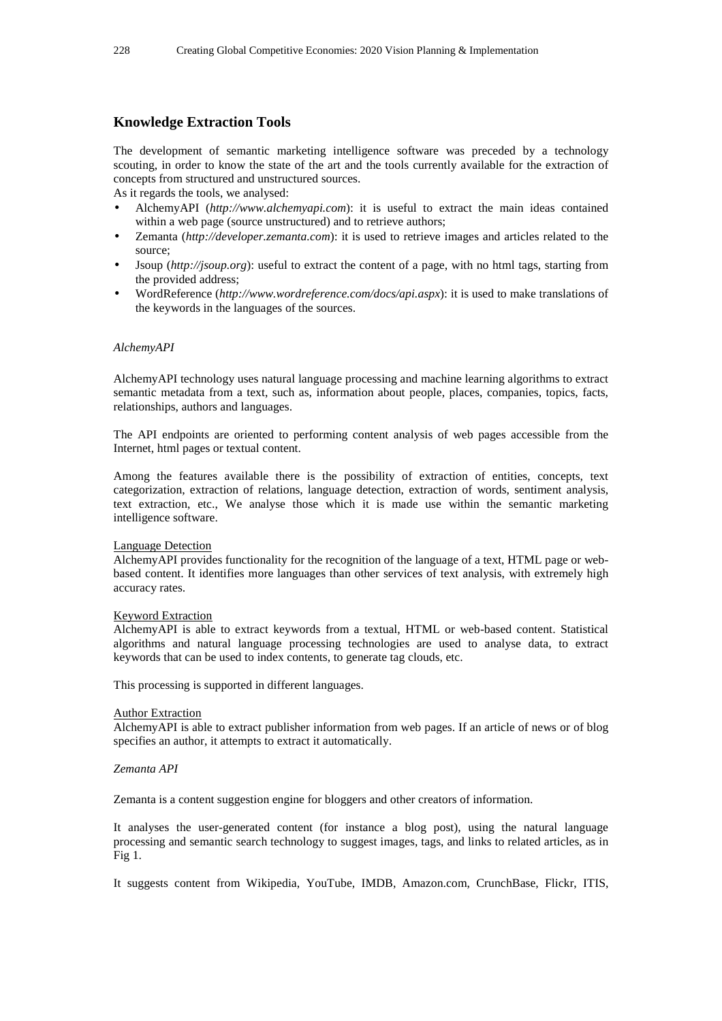# **Knowledge Extraction Tools**

The development of semantic marketing intelligence software was preceded by a technology scouting, in order to know the state of the art and the tools currently available for the extraction of concepts from structured and unstructured sources.

As it regards the tools, we analysed:

- AlchemyAPI (*http://www.alchemyapi.com*): it is useful to extract the main ideas contained within a web page (source unstructured) and to retrieve authors;
- Zemanta (*http://developer.zemanta.com*): it is used to retrieve images and articles related to the source;
- Jsoup (*http://jsoup.org*): useful to extract the content of a page, with no html tags, starting from the provided address;
- WordReference (*http://www.wordreference.com/docs/api.aspx*): it is used to make translations of the keywords in the languages of the sources.

#### *AlchemyAPI*

AlchemyAPI technology uses natural language processing and machine learning algorithms to extract semantic metadata from a text, such as, information about people, places, companies, topics, facts, relationships, authors and languages.

The API endpoints are oriented to performing content analysis of web pages accessible from the Internet, html pages or textual content.

Among the features available there is the possibility of extraction of entities, concepts, text categorization, extraction of relations, language detection, extraction of words, sentiment analysis, text extraction, etc., We analyse those which it is made use within the semantic marketing intelligence software.

#### Language Detection

AlchemyAPI provides functionality for the recognition of the language of a text, HTML page or webbased content. It identifies more languages than other services of text analysis, with extremely high accuracy rates.

#### Keyword Extraction

AlchemyAPI is able to extract keywords from a textual, HTML or web-based content. Statistical algorithms and natural language processing technologies are used to analyse data, to extract keywords that can be used to index contents, to generate tag clouds, etc.

This processing is supported in different languages.

#### **Author Extraction**

AlchemyAPI is able to extract publisher information from web pages. If an article of news or of blog specifies an author, it attempts to extract it automatically.

#### *Zemanta API*

Zemanta is a content suggestion engine for bloggers and other creators of information.

It analyses the user-generated content (for instance a blog post), using the natural language processing and semantic search technology to suggest images, tags, and links to related articles, as in Fig 1.

It suggests content from Wikipedia, YouTube, IMDB, Amazon.com, CrunchBase, Flickr, ITIS,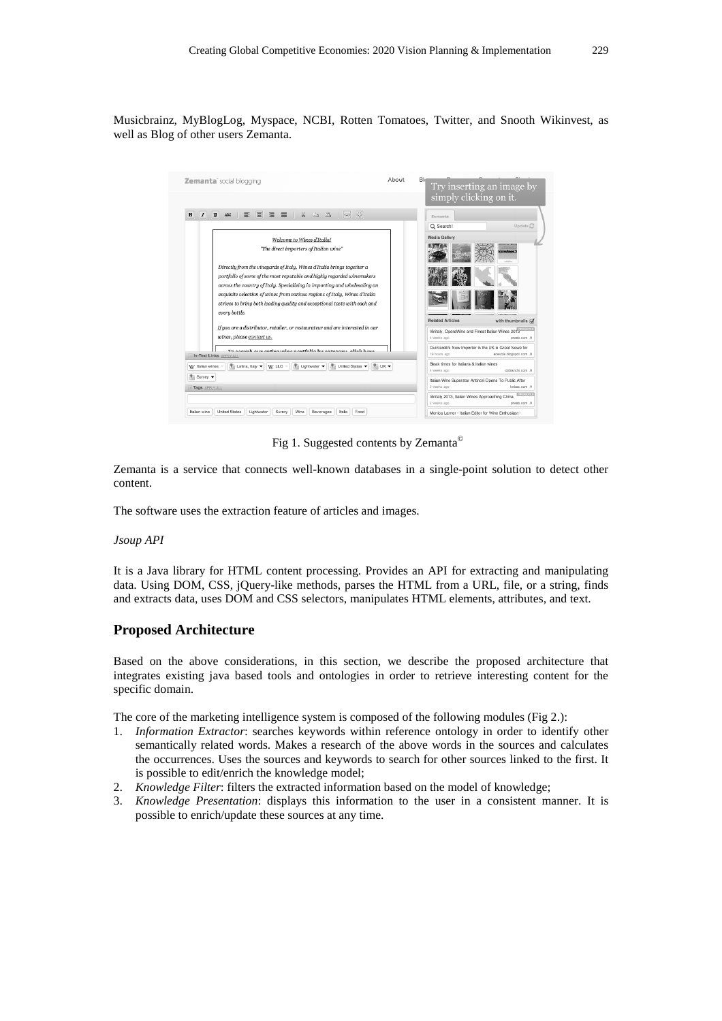Musicbrainz, MyBlogLog, Myspace, NCBI, Rotten Tomatoes, Twitter, and Snooth Wikinvest, as well as Blog of other users Zemanta.



Fig 1. Suggested contents by Zemanta©

Zemanta is a service that connects well-known databases in a single-point solution to detect other content.

The software uses the extraction feature of articles and images.

#### *Jsoup API*

It is a Java library for HTML content processing. Provides an API for extracting and manipulating data. Using DOM, CSS, jQuery-like methods, parses the HTML from a URL, file, or a string, finds and extracts data, uses DOM and CSS selectors, manipulates HTML elements, attributes, and text.

# **Proposed Architecture**

Based on the above considerations, in this section, we describe the proposed architecture that integrates existing java based tools and ontologies in order to retrieve interesting content for the specific domain.

The core of the marketing intelligence system is composed of the following modules (Fig 2.):

- 1. *Information Extractor*: searches keywords within reference ontology in order to identify other semantically related words. Makes a research of the above words in the sources and calculates the occurrences. Uses the sources and keywords to search for other sources linked to the first. It is possible to edit/enrich the knowledge model;
- 2. *Knowledge Filter*: filters the extracted information based on the model of knowledge;
- 3. *Knowledge Presentation*: displays this information to the user in a consistent manner. It is possible to enrich/update these sources at any time.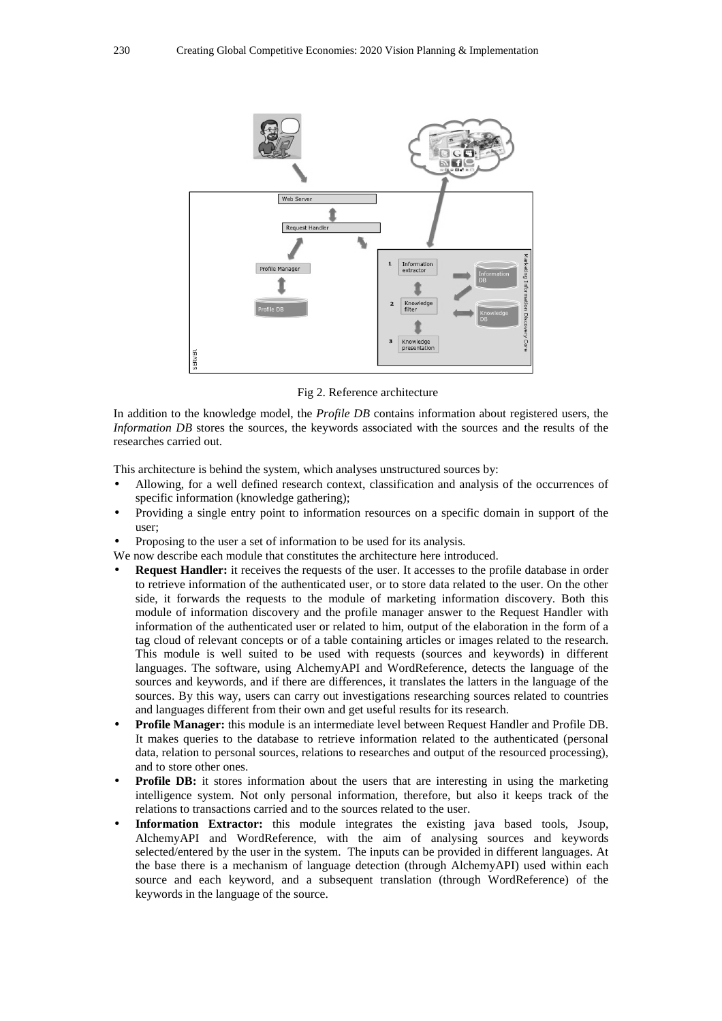

Fig 2. Reference architecture

In addition to the knowledge model, the *Profile DB* contains information about registered users, the *Information DB* stores the sources, the keywords associated with the sources and the results of the researches carried out.

This architecture is behind the system, which analyses unstructured sources by:

- Allowing, for a well defined research context, classification and analysis of the occurrences of specific information (knowledge gathering);
- Providing a single entry point to information resources on a specific domain in support of the user;
- Proposing to the user a set of information to be used for its analysis.

We now describe each module that constitutes the architecture here introduced.

- **Request Handler:** it receives the requests of the user. It accesses to the profile database in order to retrieve information of the authenticated user, or to store data related to the user. On the other side, it forwards the requests to the module of marketing information discovery. Both this module of information discovery and the profile manager answer to the Request Handler with information of the authenticated user or related to him, output of the elaboration in the form of a tag cloud of relevant concepts or of a table containing articles or images related to the research. This module is well suited to be used with requests (sources and keywords) in different languages. The software, using AlchemyAPI and WordReference, detects the language of the sources and keywords, and if there are differences, it translates the latters in the language of the sources. By this way, users can carry out investigations researching sources related to countries and languages different from their own and get useful results for its research.
- **Profile Manager:** this module is an intermediate level between Request Handler and Profile DB. It makes queries to the database to retrieve information related to the authenticated (personal data, relation to personal sources, relations to researches and output of the resourced processing), and to store other ones.
- **Profile DB:** it stores information about the users that are interesting in using the marketing intelligence system. Not only personal information, therefore, but also it keeps track of the relations to transactions carried and to the sources related to the user.
- **Information Extractor:** this module integrates the existing java based tools, Jsoup, AlchemyAPI and WordReference, with the aim of analysing sources and keywords selected/entered by the user in the system. The inputs can be provided in different languages. At the base there is a mechanism of language detection (through AlchemyAPI) used within each source and each keyword, and a subsequent translation (through WordReference) of the keywords in the language of the source.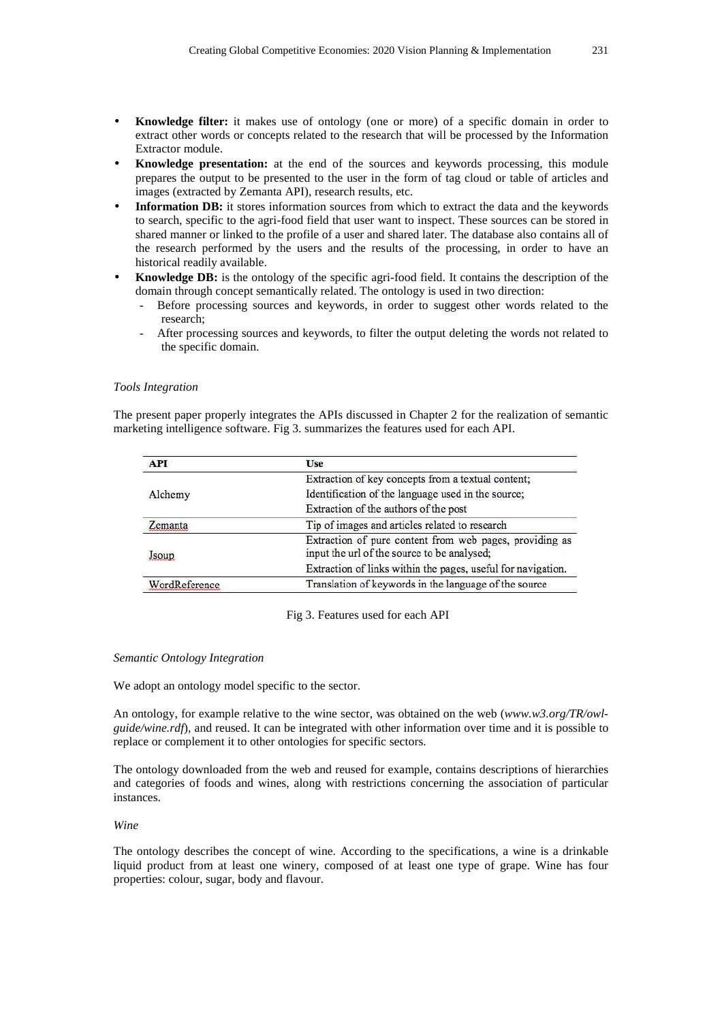- **Knowledge filter:** it makes use of ontology (one or more) of a specific domain in order to extract other words or concepts related to the research that will be processed by the Information Extractor module.
- **Knowledge presentation:** at the end of the sources and keywords processing, this module prepares the output to be presented to the user in the form of tag cloud or table of articles and images (extracted by Zemanta API), research results, etc.
- **Information DB:** it stores information sources from which to extract the data and the keywords to search, specific to the agri-food field that user want to inspect. These sources can be stored in shared manner or linked to the profile of a user and shared later. The database also contains all of the research performed by the users and the results of the processing, in order to have an historical readily available.
- **Knowledge DB:** is the ontology of the specific agri-food field. It contains the description of the domain through concept semantically related. The ontology is used in two direction:
	- Before processing sources and keywords, in order to suggest other words related to the research;
	- After processing sources and keywords, to filter the output deleting the words not related to the specific domain.

#### *Tools Integration*

The present paper properly integrates the APIs discussed in Chapter 2 for the realization of semantic marketing intelligence software. Fig 3. summarizes the features used for each API.

| <b>API</b>    | Use                                                                                                    |
|---------------|--------------------------------------------------------------------------------------------------------|
| Alchemy       | Extraction of key concepts from a textual content;                                                     |
|               | Identification of the language used in the source;                                                     |
|               | Extraction of the authors of the post                                                                  |
| emanta        | Tip of images and articles related to research                                                         |
| Isoun         | Extraction of pure content from web pages, providing as<br>input the url of the source to be analysed; |
|               | Extraction of links within the pages, useful for navigation.                                           |
| WordReference | Translation of keywords in the language of the source                                                  |

Fig 3. Features used for each API

#### *Semantic Ontology Integration*

We adopt an ontology model specific to the sector.

An ontology, for example relative to the wine sector, was obtained on the web (*www.w3.org/TR/owlguide/wine.rdf*), and reused. It can be integrated with other information over time and it is possible to replace or complement it to other ontologies for specific sectors.

The ontology downloaded from the web and reused for example, contains descriptions of hierarchies and categories of foods and wines, along with restrictions concerning the association of particular instances.

### *Wine*

The ontology describes the concept of wine. According to the specifications, a wine is a drinkable liquid product from at least one winery, composed of at least one type of grape. Wine has four properties: colour, sugar, body and flavour.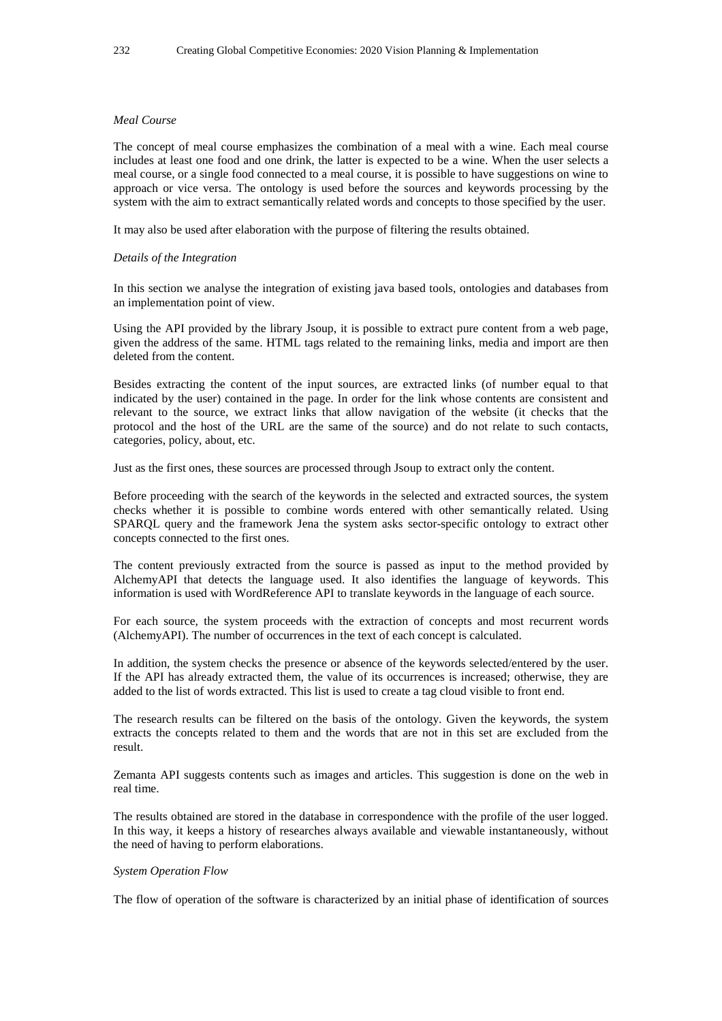## *Meal Course*

The concept of meal course emphasizes the combination of a meal with a wine. Each meal course includes at least one food and one drink, the latter is expected to be a wine. When the user selects a meal course, or a single food connected to a meal course, it is possible to have suggestions on wine to approach or vice versa. The ontology is used before the sources and keywords processing by the system with the aim to extract semantically related words and concepts to those specified by the user.

It may also be used after elaboration with the purpose of filtering the results obtained.

#### *Details of the Integration*

In this section we analyse the integration of existing java based tools, ontologies and databases from an implementation point of view.

Using the API provided by the library Jsoup, it is possible to extract pure content from a web page, given the address of the same. HTML tags related to the remaining links, media and import are then deleted from the content.

Besides extracting the content of the input sources, are extracted links (of number equal to that indicated by the user) contained in the page. In order for the link whose contents are consistent and relevant to the source, we extract links that allow navigation of the website (it checks that the protocol and the host of the URL are the same of the source) and do not relate to such contacts, categories, policy, about, etc.

Just as the first ones, these sources are processed through Jsoup to extract only the content.

Before proceeding with the search of the keywords in the selected and extracted sources, the system checks whether it is possible to combine words entered with other semantically related. Using SPARQL query and the framework Jena the system asks sector-specific ontology to extract other concepts connected to the first ones.

The content previously extracted from the source is passed as input to the method provided by AlchemyAPI that detects the language used. It also identifies the language of keywords. This information is used with WordReference API to translate keywords in the language of each source.

For each source, the system proceeds with the extraction of concepts and most recurrent words (AlchemyAPI). The number of occurrences in the text of each concept is calculated.

In addition, the system checks the presence or absence of the keywords selected/entered by the user. If the API has already extracted them, the value of its occurrences is increased; otherwise, they are added to the list of words extracted. This list is used to create a tag cloud visible to front end.

The research results can be filtered on the basis of the ontology. Given the keywords, the system extracts the concepts related to them and the words that are not in this set are excluded from the result.

Zemanta API suggests contents such as images and articles. This suggestion is done on the web in real time.

The results obtained are stored in the database in correspondence with the profile of the user logged. In this way, it keeps a history of researches always available and viewable instantaneously, without the need of having to perform elaborations.

#### *System Operation Flow*

The flow of operation of the software is characterized by an initial phase of identification of sources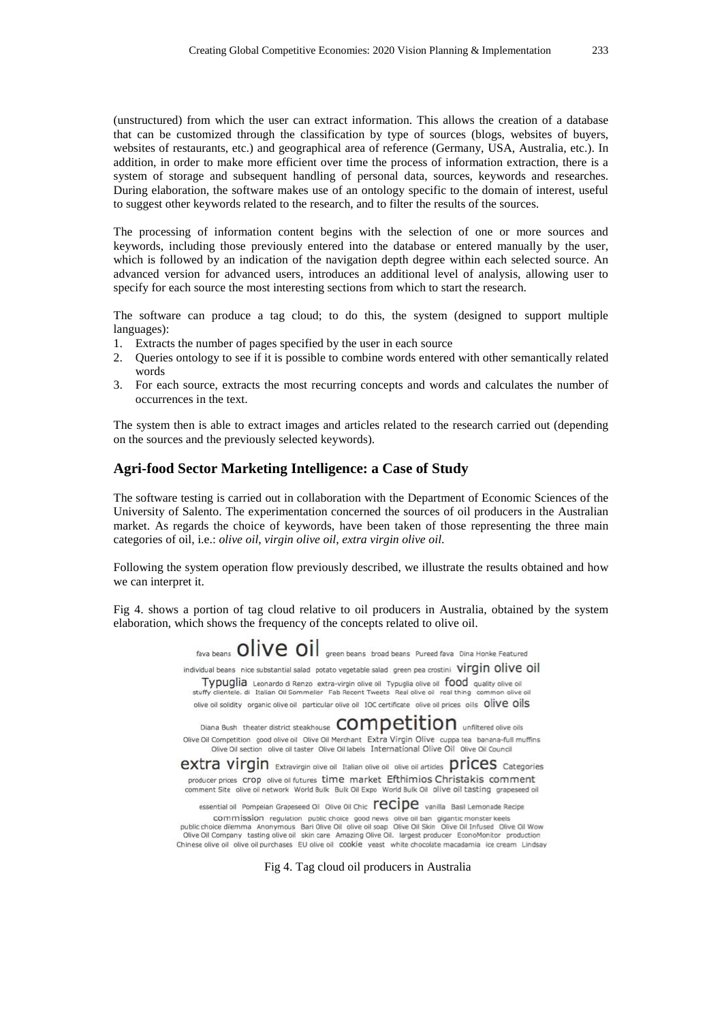(unstructured) from which the user can extract information. This allows the creation of a database that can be customized through the classification by type of sources (blogs, websites of buyers, websites of restaurants, etc.) and geographical area of reference (Germany, USA, Australia, etc.). In addition, in order to make more efficient over time the process of information extraction, there is a system of storage and subsequent handling of personal data, sources, keywords and researches. During elaboration, the software makes use of an ontology specific to the domain of interest, useful to suggest other keywords related to the research, and to filter the results of the sources.

The processing of information content begins with the selection of one or more sources and keywords, including those previously entered into the database or entered manually by the user, which is followed by an indication of the navigation depth degree within each selected source. An advanced version for advanced users, introduces an additional level of analysis, allowing user to specify for each source the most interesting sections from which to start the research.

The software can produce a tag cloud; to do this, the system (designed to support multiple languages):

- 1. Extracts the number of pages specified by the user in each source
- 2. Queries ontology to see if it is possible to combine words entered with other semantically related words
- 3. For each source, extracts the most recurring concepts and words and calculates the number of occurrences in the text.

The system then is able to extract images and articles related to the research carried out (depending on the sources and the previously selected keywords).

## **Agri-food Sector Marketing Intelligence: a Case of Study**

The software testing is carried out in collaboration with the Department of Economic Sciences of the University of Salento. The experimentation concerned the sources of oil producers in the Australian market. As regards the choice of keywords, have been taken of those representing the three main categories of oil, i.e.: *olive oil*, *virgin olive oil*, *extra virgin olive oil*.

Following the system operation flow previously described, we illustrate the results obtained and how we can interpret it.

Fig 4. shows a portion of tag cloud relative to oil producers in Australia, obtained by the system elaboration, which shows the frequency of the concepts related to olive oil.

> fava beans OliVe Oil green beans broad beans Pureed fava Dina Honke Featured individual beans nice substantial salad potato vegetable salad green pea crostini Virgin olive oil Typuglia Leonardo di Renzo extra-virgin olive oli Typuglia olive oli food quality olive oil stuffy clientele, di Italian Oil Sommelier Fab Recent Tweets Real olive oil real thing common olive oil olive oil solidity organic olive oil particular olive oil 10C certificate olive oil prices oils Olive Oils

> Diana Bush theater district steakhouse COMDELILION unfiltered olive oils Olive Oil Competition good olive oil Olive Oil Merchant Extra Virgin Olive cuppa tea banana-full muffins Olive Oil section olive oil taster Olive Oil labels International Olive Oil Olive Oil Council

> **EXTra Virgin** Extravirgin olive oil Italian olive oil olive oil articles **PFICES** Categories producer prices Crop olive oil futures time market Efthimios Christakis comment comment Site olive oil network World Bulk Bulk Oil Expo World Bulk Oil olive oil tasting grapeseed oil

essential oil Pompeian Grapeseed Oil Olive Oil Chic Fecipe vanilla Basil Lemonade Recipe

COMMISSION regulation public choice good news olive oil ban gigantic monster keels<br>public choice dilemma Anonymous Bari Olive Oil olive oil soap Olive Oil Skin Olive Oil Infused Olive Oil Wow<br>Olive Oil Company tasting oliv Chinese olive oil olive oil purchases EU olive oil cookie yeast white chocolate macadamia ice cream Lindsay

Fig 4. Tag cloud oil producers in Australia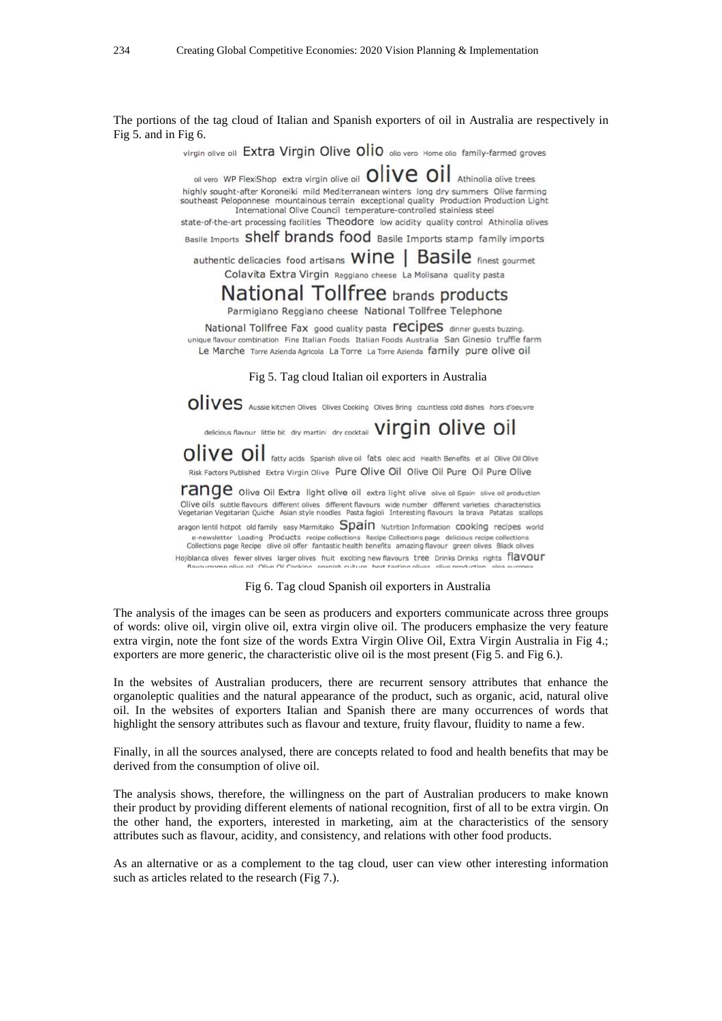The portions of the tag cloud of Italian and Spanish exporters of oil in Australia are respectively in Fig 5. and in Fig 6.

virgin olive oil Extra Virgin Olive Olio olio vero Home olio family-farmed groves

oll vero WP FlexiShop extra virgin olive oil  $\overline{OIVe}$   $\overline{OIVe}$   $\overline{OIVe}$  Athinolia olive trees highly sought-after Koroneiki mild Mediterranean winters long dry summers Olive farming southeast Peloponnese mountainous terrain exceptional quality Production Production Light International Olive Council temperature-controlled stainless steel

state-of-the-art processing facilities Theodore low acidity quality control Athinolia olives

Basile Imports Shelf brands food Basile Imports stamp family imports

authentic delicacies food artisans WINE | Basile finest gourmet Colavita Extra Virgin Reggiano cheese La Molisana quality pasta

# National Tollfree brands products

Parmigiano Reggiano cheese National Tollfree Telephone

National Tollfree Fax good quality pasta **recipes** dinner guests buzzing. unique flavour combination Fine Italian Foods Italian Foods Australia San Ginesio truffle farm Le Marche Torre Azienda Agricola La Torre La Torre Azienda family pure olive oil

Fig 5. Tag cloud Italian oil exporters in Australia

OIIVES Aussie kitchen Olives Olives Cooking Olives Bring countless cold dishes hors d'oeuvre

delicious flavour little bit dry martini dry cocktail Virgin olive oil

OIIVe OII fatty acids Spanish olive oil fats oleic acid Health Benefits et al Olive Oil Olive Risk Factors Published Extra Virgin Olive Pure Olive Oil Olive Oil Pure Oil Pure Olive

range olive Oil Extra light olive oil extra light olive olive oil Spain olive oil production Olive oils subtle flavours different olives different flavours wide number different varieties characteristics Vegetarian Vegetarian Quiche Asian style noodles Pasta fagioli Interesting flavours la brava Patatas scallops

aragon lentil hotpot old family easy Marmitako Spain Nutrition Information cooking recipes world e-newsletter Loading Products recipe collections Recipe Collections page delicious recipe collections<br>Collections page Recipe olive oil offer fantastic health benefits amazing flavour green olives Black olives

Hojiblanca olives fewer olives larger olives fruit exciting new flavours tree Drinks Drinks rights flaVOUT flavoursome olive oil Olive Oil Cooking, soanish culture, hest tasti

Fig 6. Tag cloud Spanish oil exporters in Australia

The analysis of the images can be seen as producers and exporters communicate across three groups of words: olive oil, virgin olive oil, extra virgin olive oil. The producers emphasize the very feature extra virgin, note the font size of the words Extra Virgin Olive Oil, Extra Virgin Australia in Fig 4.; exporters are more generic, the characteristic olive oil is the most present (Fig 5. and Fig 6.).

In the websites of Australian producers, there are recurrent sensory attributes that enhance the organoleptic qualities and the natural appearance of the product, such as organic, acid, natural olive oil. In the websites of exporters Italian and Spanish there are many occurrences of words that highlight the sensory attributes such as flavour and texture, fruity flavour, fluidity to name a few.

Finally, in all the sources analysed, there are concepts related to food and health benefits that may be derived from the consumption of olive oil.

The analysis shows, therefore, the willingness on the part of Australian producers to make known their product by providing different elements of national recognition, first of all to be extra virgin. On the other hand, the exporters, interested in marketing, aim at the characteristics of the sensory attributes such as flavour, acidity, and consistency, and relations with other food products.

As an alternative or as a complement to the tag cloud, user can view other interesting information such as articles related to the research (Fig 7.).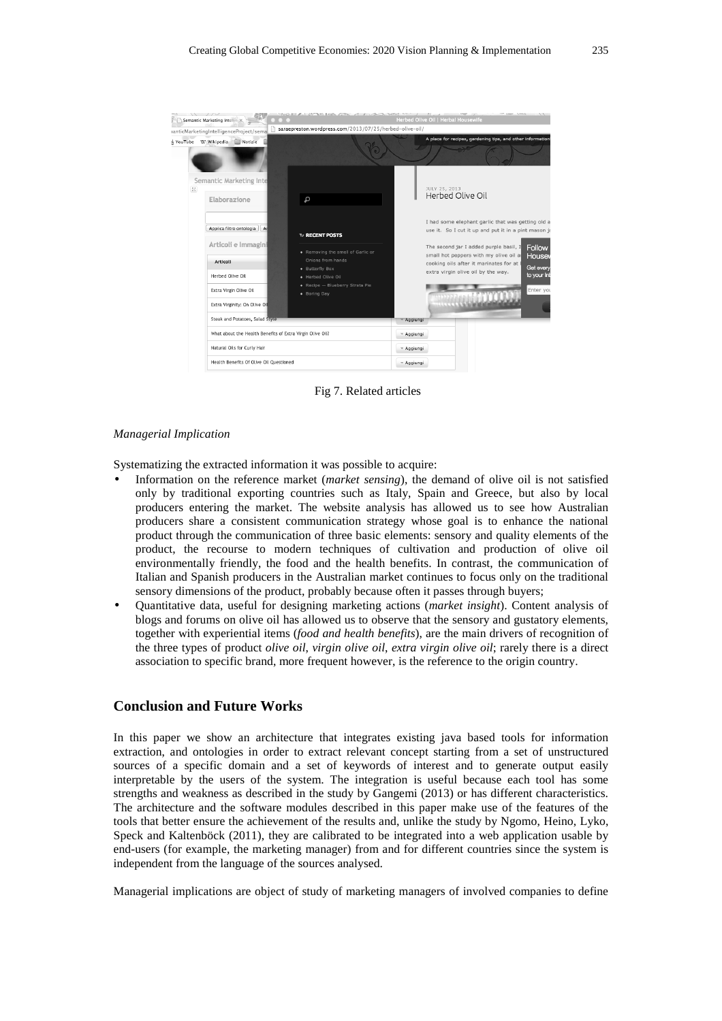

Fig 7. Related articles

#### *Managerial Implication*

Systematizing the extracted information it was possible to acquire:

- Information on the reference market (*market sensing*), the demand of olive oil is not satisfied only by traditional exporting countries such as Italy, Spain and Greece, but also by local producers entering the market. The website analysis has allowed us to see how Australian producers share a consistent communication strategy whose goal is to enhance the national product through the communication of three basic elements: sensory and quality elements of the product, the recourse to modern techniques of cultivation and production of olive oil environmentally friendly, the food and the health benefits. In contrast, the communication of Italian and Spanish producers in the Australian market continues to focus only on the traditional sensory dimensions of the product, probably because often it passes through buyers;
- Quantitative data, useful for designing marketing actions (*market insight*). Content analysis of blogs and forums on olive oil has allowed us to observe that the sensory and gustatory elements, together with experiential items (*food and health benefits*), are the main drivers of recognition of the three types of product *olive oil*, *virgin olive oil*, *extra virgin olive oil*; rarely there is a direct association to specific brand, more frequent however, is the reference to the origin country.

# **Conclusion and Future Works**

In this paper we show an architecture that integrates existing java based tools for information extraction, and ontologies in order to extract relevant concept starting from a set of unstructured sources of a specific domain and a set of keywords of interest and to generate output easily interpretable by the users of the system. The integration is useful because each tool has some strengths and weakness as described in the study by Gangemi (2013) or has different characteristics. The architecture and the software modules described in this paper make use of the features of the tools that better ensure the achievement of the results and, unlike the study by Ngomo, Heino, Lyko, Speck and Kaltenböck (2011), they are calibrated to be integrated into a web application usable by end-users (for example, the marketing manager) from and for different countries since the system is independent from the language of the sources analysed.

Managerial implications are object of study of marketing managers of involved companies to define